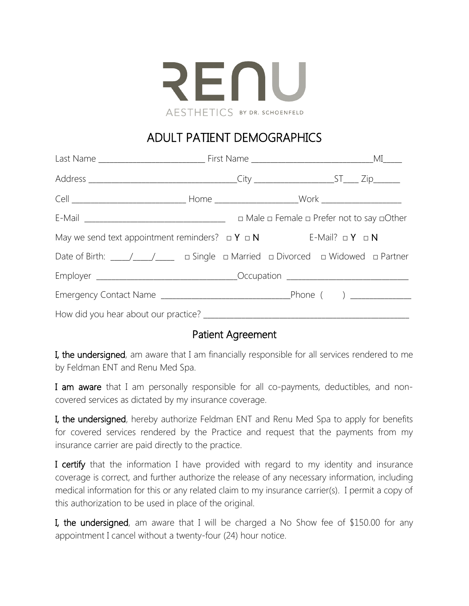

# ADULT PATIENT DEMOGRAPHICS

| May we send text appointment reminders? $\Box Y \Box N$ E-Mail? $\Box Y \Box N$ |  |  |  |
|---------------------------------------------------------------------------------|--|--|--|
|                                                                                 |  |  |  |
|                                                                                 |  |  |  |
|                                                                                 |  |  |  |
|                                                                                 |  |  |  |

#### Patient Agreement

I, the undersigned, am aware that I am financially responsible for all services rendered to me by Feldman ENT and Renu Med Spa.

I am aware that I am personally responsible for all co-payments, deductibles, and noncovered services as dictated by my insurance coverage.

I, the undersigned, hereby authorize Feldman ENT and Renu Med Spa to apply for benefits for covered services rendered by the Practice and request that the payments from my insurance carrier are paid directly to the practice.

I certify that the information I have provided with regard to my identity and insurance coverage is correct, and further authorize the release of any necessary information, including medical information for this or any related claim to my insurance carrier(s). I permit a copy of this authorization to be used in place of the original.

I, the undersigned, am aware that I will be charged a No Show fee of \$150.00 for any appointment I cancel without a twenty-four (24) hour notice.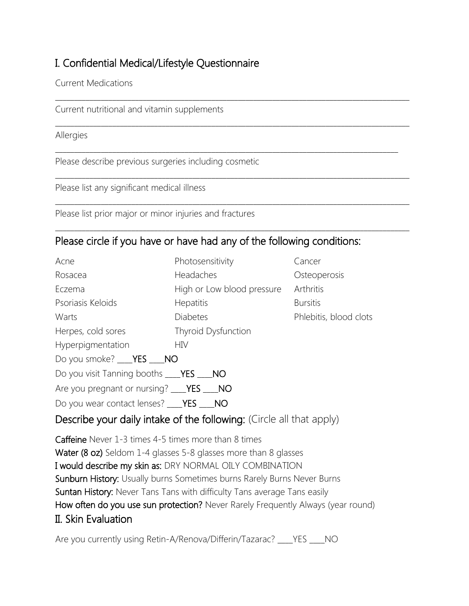## I. Confidential Medical/Lifestyle Questionnaire

Current Medications

Current nutritional and vitamin supplements

Allergies

Please describe previous surgeries including cosmetic

Please list any significant medical illness

Please list prior major or minor injuries and fractures

### Please circle if you have or have had any of the following conditions:

\_\_\_\_\_\_\_\_\_\_\_\_\_\_\_\_\_\_\_\_\_\_\_\_\_\_\_\_\_\_\_\_\_\_\_\_\_\_\_\_\_\_\_\_\_\_\_\_\_\_\_\_\_\_\_\_\_\_\_\_\_\_\_\_\_\_\_\_\_\_\_\_\_\_\_\_\_\_\_\_\_\_\_\_\_\_\_\_\_\_\_\_\_

\_\_\_\_\_\_\_\_\_\_\_\_\_\_\_\_\_\_\_\_\_\_\_\_\_\_\_\_\_\_\_\_\_\_\_\_\_\_\_\_\_\_\_\_\_\_\_\_\_\_\_\_\_\_\_\_\_\_\_\_\_\_\_\_\_\_\_\_\_\_\_\_\_\_\_\_\_\_\_\_\_\_\_\_\_\_\_\_\_\_\_\_\_

\_\_\_\_\_\_\_\_\_\_\_\_\_\_\_\_\_\_\_\_\_\_\_\_\_\_\_\_\_\_\_\_\_\_\_\_\_\_\_\_\_\_\_\_\_\_\_\_\_\_\_\_\_\_\_\_\_\_\_\_\_\_\_\_\_\_\_\_\_\_\_\_\_\_\_\_\_\_\_\_\_\_\_\_\_\_\_\_\_\_\_\_\_

\_\_\_\_\_\_\_\_\_\_\_\_\_\_\_\_\_\_\_\_\_\_\_\_\_\_\_\_\_\_\_\_\_\_\_\_\_\_\_\_\_\_\_\_\_\_\_\_\_\_\_\_\_\_\_\_\_\_\_\_\_\_\_\_\_\_\_\_\_\_\_\_\_\_\_\_\_\_\_\_\_\_\_\_\_\_\_\_\_\_\_\_\_

\_\_\_\_\_\_\_\_\_\_\_\_\_\_\_\_\_\_\_\_\_\_\_\_\_\_\_\_\_\_\_\_\_\_\_\_\_\_\_\_\_\_\_\_\_\_\_\_\_\_\_\_\_\_\_\_\_\_\_\_\_\_\_\_\_\_\_\_\_\_\_\_\_\_\_\_\_\_\_\_\_\_\_\_\_\_\_\_\_\_\_\_\_

\_\_\_\_\_\_\_\_\_\_\_\_\_\_\_\_\_\_\_\_\_\_\_\_\_\_\_\_\_\_\_\_\_\_\_\_\_\_\_\_\_\_\_\_\_\_\_\_\_\_\_\_\_\_\_\_\_\_\_\_\_\_\_\_\_\_\_\_\_\_\_\_\_\_\_\_\_\_\_\_\_\_\_\_\_\_\_\_\_\_

| Acne                                                       | Photosensitivity           | Cancer                 |
|------------------------------------------------------------|----------------------------|------------------------|
| Rosacea                                                    | Headaches                  | Osteoperosis           |
| Eczema                                                     | High or Low blood pressure | Arthritis              |
| Psoriasis Keloids                                          | <b>Hepatitis</b>           | <b>Bursitis</b>        |
| Warts                                                      | <b>Diabetes</b>            | Phlebitis, blood clots |
| Herpes, cold sores                                         | Thyroid Dysfunction        |                        |
| Hyperpigmentation                                          | <b>HIV</b>                 |                        |
| Do you smoke? ___ <b>YES</b> ___ <b>NO</b>                 |                            |                        |
| Do you visit Tanning booths ____ <b>YES</b> ____ <b>NO</b> |                            |                        |
| Are you pregnant or nursing? ____YES ____NO                |                            |                        |
| Do you wear contact lenses? ____YES ___                    | NO                         |                        |

#### Describe your daily intake of the following: (Circle all that apply)

Caffeine Never 1-3 times 4-5 times more than 8 times Water (8 oz) Seldom 1-4 glasses 5-8 glasses more than 8 glasses I would describe my skin as: DRY NORMAL OILY COMBINATION Sunburn History: Usually burns Sometimes burns Rarely Burns Never Burns Suntan History: Never Tans Tans with difficulty Tans average Tans easily How often do you use sun protection? Never Rarely Frequently Always (year round) II. Skin Evaluation

Are you currently using Retin-A/Renova/Differin/Tazarac? \_\_\_\_YES \_\_\_\_NO